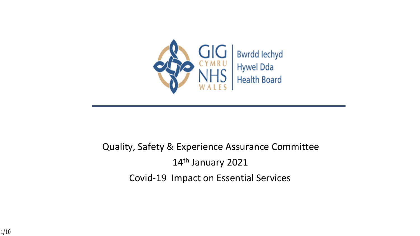

#### Quality, Safety & Experience Assurance Committee 14th January 2021 Covid-19 Impact on Essential Services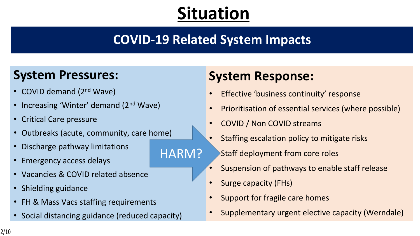# **Situation**

## **COVID-19 Related System Impacts**

HARM?

#### **System Pressures:**

- COVID demand (2<sup>nd</sup> Wave)
- Increasing 'Winter' demand (2<sup>nd</sup> Wave)
- Critical Care pressure
- Outbreaks (acute, community, care home)
- Discharge pathway limitations
- Emergency access delays
- Vacancies & COVID related absence
- Shielding guidance
- FH & Mass Vacs staffing requirements
- Social distancing guidance (reduced capacity)

## **System Response:**

- Effective 'business continuity' response
- Prioritisation of essential services (where possible)
- COVID / Non COVID streams
- Staffing escalation policy to mitigate risks • Staff deployment from core roles
- Suspension of pathways to enable staff release
- Surge capacity (FHs)
- Support for fragile care homes
- Supplementary urgent elective capacity (Werndale)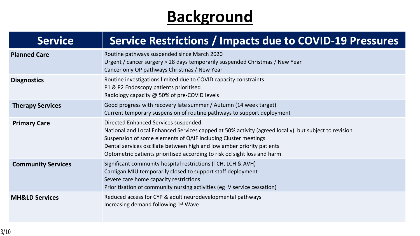# **Background**

| <b>Service</b>            | Service Restrictions / Impacts due to COVID-19 Pressures                                                                                                                                                                                                                                                                                                             |  |
|---------------------------|----------------------------------------------------------------------------------------------------------------------------------------------------------------------------------------------------------------------------------------------------------------------------------------------------------------------------------------------------------------------|--|
| <b>Planned Care</b>       | Routine pathways suspended since March 2020<br>Urgent / cancer surgery > 28 days temporarily suspended Christmas / New Year<br>Cancer only OP pathways Christmas / New Year                                                                                                                                                                                          |  |
| <b>Diagnostics</b>        | Routine investigations limited due to COVID capacity constraints<br>P1 & P2 Endoscopy patients prioritised<br>Radiology capacity @ 50% of pre-COVID levels                                                                                                                                                                                                           |  |
| <b>Therapy Services</b>   | Good progress with recovery late summer / Autumn (14 week target)<br>Current temporary suspension of routine pathways to support deployment                                                                                                                                                                                                                          |  |
| <b>Primary Care</b>       | Directed Enhanced Services suspended<br>National and Local Enhanced Services capped at 50% activity (agreed locally) but subject to revision<br>Suspension of some elements of QAIF including Cluster meetings<br>Dental services oscillate between high and low amber priority patients<br>Optometric patients prioritised according to risk od sight loss and harm |  |
| <b>Community Services</b> | Significant community hospital restrictions (TCH, LCH & AVH)<br>Cardigan MIU temporarily closed to support staff deployment<br>Severe care home capacity restrictions<br>Prioritisation of community nursing activities (eg IV service cessation)                                                                                                                    |  |
| <b>MH&amp;LD Services</b> | Reduced access for CYP & adult neurodevelopmental pathways<br>Increasing demand following 1 <sup>st</sup> Wave                                                                                                                                                                                                                                                       |  |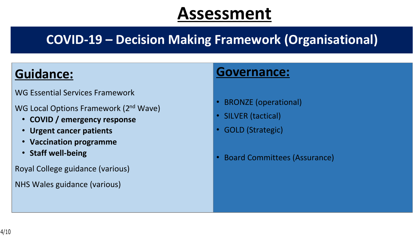## **COVID-19 – Decision Making Framework (Organisational)**

#### **Guidance:**

WG Essential Services Framework

WG Local Options Framework (2<sup>nd</sup> Wave)

- **COVID / emergency response**
- **Urgent cancer patients**
- **Vaccination programme**
- **Staff well-being**

Royal College guidance (various)

NHS Wales guidance (various)

#### **Governance:**

- BRONZE (operational)
- SILVER (tactical)
- GOLD (Strategic)
- Board Committees (Assurance)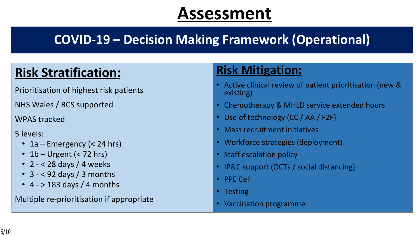## **COVID-19 – Decision Making Framework (Operational)**

## **Risk Stratification:**

Prioritisation of highest risk patients

NHS Wales / RCS supported

WPAS tracked

5 levels:

- 1a Emergency (< 24 hrs)
- 1 $b$  Urgent (< 72 hrs)
- 2 < 28 days / 4 weeks
- 3 < 92 days / 3 months
- $4 183$  days / 4 months

Multiple re-prioritisation if appropriate

## **Risk Mitigation:**

- Active clinical review of patient prioritisation (new & existing)
- Chemotherapy & MHLD service extended hours
- Use of technology (CC / AA / F2F)
- Mass recruitment initiatives
- Workforce strategies (deployment)
- Staff escalation policy
- IP&C support (OCTs / social distancing)
- PPE Cell
- Testing
- Vaccination programme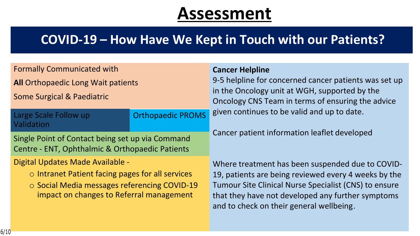#### **COVID-19 – How Have We Kept in Touch with our Patients?**

| <b>Formally Communicated with</b>                                                                   |                          | <b>Cancer Helpline</b>                                                                                                                                        |
|-----------------------------------------------------------------------------------------------------|--------------------------|---------------------------------------------------------------------------------------------------------------------------------------------------------------|
| <b>All Orthopaedic Long Wait patients</b>                                                           |                          | 9-5 helpline for concerned cancer patients was set up                                                                                                         |
| <b>Some Surgical &amp; Paediatric</b>                                                               |                          | in the Oncology unit at WGH, supported by the<br>Oncology CNS Team in terms of ensuring the advice                                                            |
| Large Scale Follow up<br>Validation                                                                 | <b>Orthopaedic PROMS</b> | given continues to be valid and up to date.                                                                                                                   |
| Single Point of Contact being set up via Command<br>Centre - ENT, Ophthalmic & Orthopaedic Patients |                          | Cancer patient information leaflet developed                                                                                                                  |
| Digital Updates Made Available -                                                                    |                          | Where treatment has been suspended due to COVID-                                                                                                              |
| $\circ$ Intranet Patient facing pages for all services                                              |                          | 19, patients are being reviewed every 4 weeks by the                                                                                                          |
| ○ Social Media messages referencing COVID-19<br>impact on changes to Referral management            |                          | <b>Tumour Site Clinical Nurse Specialist (CNS) to ensure</b><br>that they have not developed any further symptoms<br>and to check on their general wellbeing. |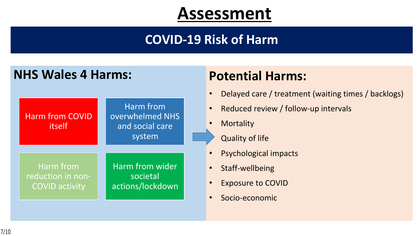#### **COVID-19 Risk of Harm**

#### **NHS Wales 4 Harms: Potential Harms:**



- Delayed care / treatment (waiting times / backlogs)
- Reduced review / follow-up intervals
- Mortality
	- **Quality of life**
- Psychological impacts
- Staff-wellbeing
- **Exposure to COVID**
- Socio-economic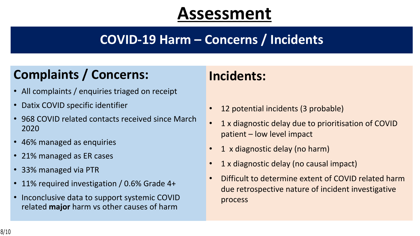## **COVID-19 Harm – Concerns / Incidents**

## **Complaints / Concerns:**

- All complaints / enquiries triaged on receipt
- Datix COVID specific identifier
- 968 COVID related contacts received since March 2020
- 46% managed as enquiries
- 21% managed as ER cases
- 33% managed via PTR
- 11% required investigation / 0.6% Grade 4+
- Inconclusive data to support systemic COVID related **major** harm vs other causes of harm

## **Incidents:**

- 12 potential incidents (3 probable)
- 1 x diagnostic delay due to prioritisation of COVID patient – low level impact
- 1 x diagnostic delay (no harm)
- 1 x diagnostic delay (no causal impact)
- Difficult to determine extent of COVID related harm due retrospective nature of incident investigative process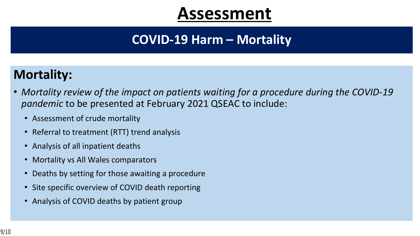### **COVID-19 Harm – Mortality**

#### **Mortality:**

- *Mortality review of the impact on patients waiting for a procedure during the COVID-19 pandemic* to be presented at February 2021 QSEAC to include:
	- Assessment of crude mortality
	- Referral to treatment (RTT) trend analysis
	- Analysis of all inpatient deaths
	- Mortality vs All Wales comparators
	- Deaths by setting for those awaiting a procedure
	- Site specific overview of COVID death reporting
	- Analysis of COVID deaths by patient group